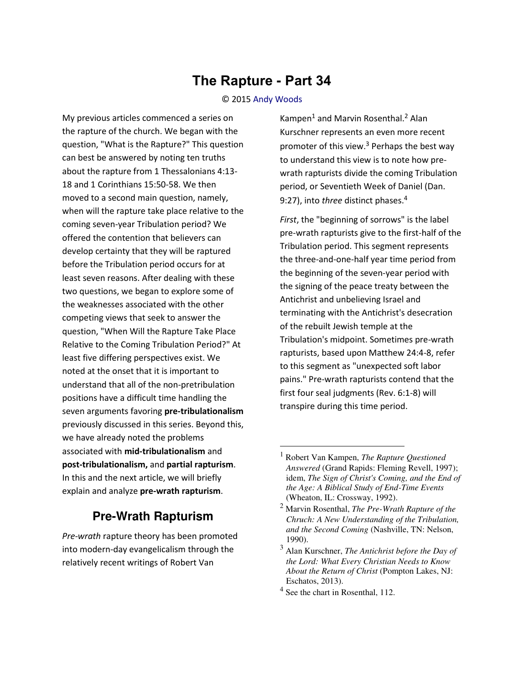## **The Rapture - Part 34**

## © 2015 [Andy Woods](http://www.spiritandtruth.org/id/aw.htm)

My previous articles commenced a series on the rapture of the church. We began with the question, "What is the Rapture?" This question can best be answered by noting ten truths about the rapture from 1 Thessalonians 4:13- 18 and 1 Corinthians 15:50-58. We then moved to a second main question, namely, when will the rapture take place relative to the coming seven-year Tribulation period? We offered the contention that believers can develop certainty that they will be raptured before the Tribulation period occurs for at least seven reasons. After dealing with these two questions, we began to explore some of the weaknesses associated with the other competing views that seek to answer the question, "When Will the Rapture Take Place Relative to the Coming Tribulation Period?" At least five differing perspectives exist. We noted at the onset that it is important to understand that all of the non-pretribulation positions have a difficult time handling the seven arguments favoring **pre-tribulationalism** previously discussed in this series. Beyond this, we have already noted the problems associated with **mid-tribulationalism** and **post-tribulationalism,** and **partial rapturism**. In this and the next article, we will briefly explain and analyze **pre-wrath rapturism**.

## **Pre-Wrath Rapturism**

*Pre-wrath* rapture theory has been promoted into modern-day evangelicalism through the relatively recent writings of Robert Van

Kampen<sup>1</sup> and Marvin Rosenthal.<sup>2</sup> Alan Kurschner represents an even more recent promoter of this view.<sup>3</sup> Perhaps the best way to understand this view is to note how prewrath rapturists divide the coming Tribulation period, or Seventieth Week of Daniel (Dan. 9:27), into *three* distinct phases.<sup>4</sup>

*First*, the "beginning of sorrows" is the label pre-wrath rapturists give to the first-half of the Tribulation period. This segment represents the three-and-one-half year time period from the beginning of the seven-year period with the signing of the peace treaty between the Antichrist and unbelieving Israel and terminating with the Antichrist's desecration of the rebuilt Jewish temple at the Tribulation's midpoint. Sometimes pre-wrath rapturists, based upon Matthew 24:4-8, refer to this segment as "unexpected soft labor pains." Pre-wrath rapturists contend that the first four seal judgments (Rev. 6:1-8) will transpire during this time period.

l

<sup>1</sup> Robert Van Kampen, *The Rapture Questioned Answered* (Grand Rapids: Fleming Revell, 1997); idem, *The Sign of Christ's Coming, and the End of the Age: A Biblical Study of End-Time Events* (Wheaton, IL: Crossway, 1992).

<sup>2</sup> Marvin Rosenthal, *The Pre-Wrath Rapture of the Chruch: A New Understanding of the Tribulation, and the Second Coming* (Nashville, TN: Nelson, 1990).

<sup>3</sup> Alan Kurschner, *The Antichrist before the Day of the Lord: What Every Christian Needs to Know About the Return of Christ* (Pompton Lakes, NJ: Eschatos, 2013).

<sup>&</sup>lt;sup>4</sup> See the chart in Rosenthal, 112.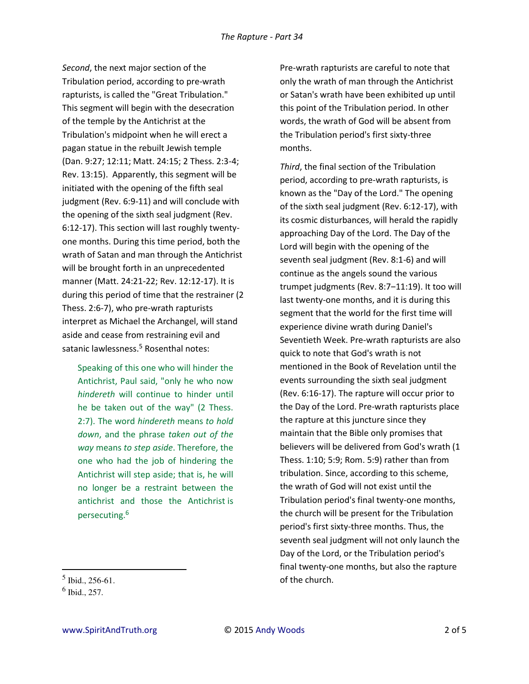*Second*, the next major section of the Tribulation period, according to pre-wrath rapturists, is called the "Great Tribulation." This segment will begin with the desecration of the temple by the Antichrist at the Tribulation's midpoint when he will erect a pagan statue in the rebuilt Jewish temple (Dan. 9:27; 12:11; Matt. 24:15; 2 Thess. 2:3-4; Rev. 13:15). Apparently, this segment will be initiated with the opening of the fifth seal judgment (Rev. 6:9-11) and will conclude with the opening of the sixth seal judgment (Rev. 6:12-17). This section will last roughly twentyone months. During this time period, both the wrath of Satan and man through the Antichrist will be brought forth in an unprecedented manner (Matt. 24:21-22; Rev. 12:12-17). It is during this period of time that the restrainer (2 Thess. 2:6-7), who pre-wrath rapturists interpret as Michael the Archangel, will stand aside and cease from restraining evil and satanic lawlessness.<sup>5</sup> Rosenthal notes:

Speaking of this one who will hinder the Antichrist, Paul said, "only he who now *hindereth* will continue to hinder until he be taken out of the way" (2 Thess. 2:7). The word *hindereth* means *to hold down*, and the phrase *taken out of the way* means *to step aside*. Therefore, the one who had the job of hindering the Antichrist will step aside; that is, he will no longer be a restraint between the antichrist and those the Antichrist is persecuting.<sup>6</sup>

Pre-wrath rapturists are careful to note that only the wrath of man through the Antichrist or Satan's wrath have been exhibited up until this point of the Tribulation period. In other words, the wrath of God will be absent from the Tribulation period's first sixty-three months.

*Third*, the final section of the Tribulation period, according to pre-wrath rapturists, is known as the "Day of the Lord." The opening of the sixth seal judgment (Rev. 6:12-17), with its cosmic disturbances, will herald the rapidly approaching Day of the Lord. The Day of the Lord will begin with the opening of the seventh seal judgment (Rev. 8:1-6) and will continue as the angels sound the various trumpet judgments (Rev. 8:7-11:19). It too will last twenty-one months, and it is during this segment that the world for the first time will experience divine wrath during Daniel's Seventieth Week. Pre-wrath rapturists are also quick to note that God's wrath is not mentioned in the Book of Revelation until the events surrounding the sixth seal judgment (Rev. 6:16-17). The rapture will occur prior to the Day of the Lord. Pre-wrath rapturists place the rapture at this juncture since they maintain that the Bible only promises that believers will be delivered from God's wrath (1 Thess. 1:10; 5:9; Rom. 5:9) rather than from tribulation. Since, according to this scheme, the wrath of God will not exist until the Tribulation period's final twenty-one months, the church will be present for the Tribulation period's first sixty-three months. Thus, the seventh seal judgment will not only launch the Day of the Lord, or the Tribulation period's final twenty-one months, but also the rapture of the church.

 $\overline{a}$ 

 $<sup>5</sup>$  Ibid., 256-61.</sup>

<sup>6</sup> Ibid., 257.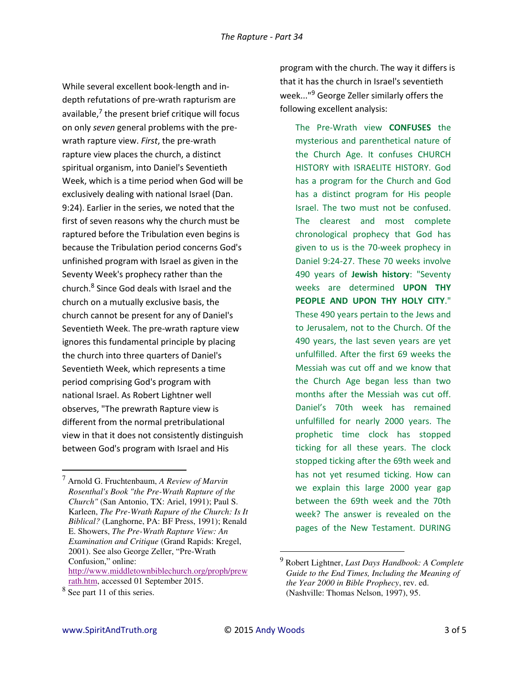While several excellent book-length and indepth refutations of pre-wrath rapturism are available, $^7$  the present brief critique will focus on only *seven* general problems with the prewrath rapture view. *First*, the pre-wrath rapture view places the church, a distinct spiritual organism, into Daniel's Seventieth Week, which is a time period when God will be exclusively dealing with national Israel (Dan. 9:24). Earlier in the series, we noted that the first of seven reasons why the church must be raptured before the Tribulation even begins is because the Tribulation period concerns God's unfinished program with Israel as given in the Seventy Week's prophecy rather than the church.<sup>8</sup> Since God deals with Israel and the church on a mutually exclusive basis, the church cannot be present for any of Daniel's Seventieth Week. The pre-wrath rapture view ignores this fundamental principle by placing the church into three quarters of Daniel's Seventieth Week, which represents a time period comprising God's program with national Israel. As Robert Lightner well observes, "The prewrath Rapture view is different from the normal pretribulational view in that it does not consistently distinguish between God's program with Israel and His

 $\overline{\phantom{0}}$ 

program with the church. The way it differs is that it has the church in Israel's seventieth week..."<sup>9</sup> George Zeller similarly offers the following excellent analysis:

The Pre-Wrath view **CONFUSES** the mysterious and parenthetical nature of the Church Age. It confuses CHURCH HISTORY with ISRAELITE HISTORY. God has a program for the Church and God has a distinct program for His people Israel. The two must not be confused. The clearest and most complete chronological prophecy that God has given to us is the 70-week prophecy in Daniel 9:24-27. These 70 weeks involve 490 years of **Jewish history**: "Seventy weeks are determined **UPON THY PEOPLE AND UPON THY HOLY CITY**." These 490 years pertain to the Jews and to Jerusalem, not to the Church. Of the 490 years, the last seven years are yet unfulfilled. After the first 69 weeks the Messiah was cut off and we know that the Church Age began less than two months after the Messiah was cut off. Daniel's 70th week has remained unfulfilled for nearly 2000 years. The prophetic time clock has stopped ticking for all these years. The clock stopped ticking after the 69th week and has not yet resumed ticking. How can we explain this large 2000 year gap between the 69th week and the 70th week? The answer is revealed on the pages of the New Testament. DURING

 $\overline{a}$ 

<sup>7</sup> Arnold G. Fruchtenbaum, *A Review of Marvin Rosenthal's Book "the Pre-Wrath Rapture of the Church"* (San Antonio, TX: Ariel, 1991); Paul S. Karleen, *The Pre-Wrath Rapure of the Church: Is It Biblical?* (Langhorne, PA: BF Press, 1991); Renald E. Showers, *The Pre-Wrath Rapture View: An Examination and Critique* (Grand Rapids: Kregel, 2001). See also George Zeller, "Pre-Wrath Confusion," online: [http://www.middletownbiblechurch.org/proph/prew](http://www.middletownbiblechurch.org/proph/prewrath.htm) [rath.htm,](http://www.middletownbiblechurch.org/proph/prewrath.htm) accessed 01 September 2015.

<sup>&</sup>lt;sup>8</sup> See part 11 of this series.

<sup>9</sup> Robert Lightner, *Last Days Handbook: A Complete Guide to the End Times, Including the Meaning of the Year 2000 in Bible Prophecy*, rev. ed. (Nashville: Thomas Nelson, 1997), 95.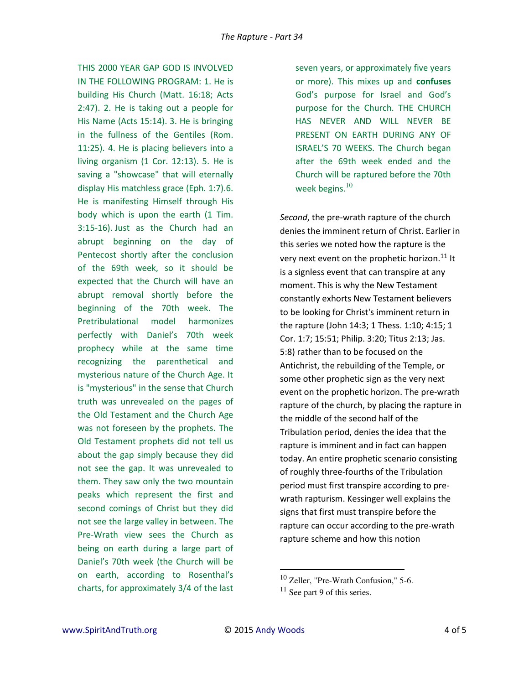THIS 2000 YEAR GAP GOD IS INVOLVED IN THE FOLLOWING PROGRAM: 1. He is building His Church (Matt. 16:18; Acts 2:47). 2. He is taking out a people for His Name (Acts 15:14). 3. He is bringing in the fullness of the Gentiles (Rom. 11:25). 4. He is placing believers into a living organism (1 Cor. 12:13). 5. He is saving a "showcase" that will eternally display His matchless grace (Eph. 1:7).6. He is manifesting Himself through His body which is upon the earth (1 Tim. 3:15-16). Just as the Church had an abrupt beginning on the day of Pentecost shortly after the conclusion of the 69th week, so it should be expected that the Church will have an abrupt removal shortly before the beginning of the 70th week. The Pretribulational model harmonizes perfectly with Daniel's 70th week prophecy while at the same time recognizing the parenthetical and mysterious nature of the Church Age. It is "mysterious" in the sense that Church truth was unrevealed on the pages of the Old Testament and the Church Age was not foreseen by the prophets. The Old Testament prophets did not tell us about the gap simply because they did not see the gap. It was unrevealed to them. They saw only the two mountain peaks which represent the first and second comings of Christ but they did not see the large valley in between. The Pre-Wrath view sees the Church as being on earth during a large part of Daniel's 70th week (the Church will be on earth, according to Rosenthal's charts, for approximately 3/4 of the last

seven years, or approximately five years or more). This mixes up and **confuses** God's purpose for Israel and God's purpose for the Church. THE CHURCH HAS NEVER AND WILL NEVER BE PRESENT ON EARTH DURING ANY OF ISRAEL'S 70 WEEKS. The Church began after the 69th week ended and the Church will be raptured before the 70th week begins. $10$ 

*Second*, the pre-wrath rapture of the church denies the imminent return of Christ. Earlier in this series we noted how the rapture is the very next event on the prophetic horizon.<sup>11</sup> It is a signless event that can transpire at any moment. This is why the New Testament constantly exhorts New Testament believers to be looking for Christ's imminent return in the rapture (John 14:3; 1 Thess. 1:10; 4:15; 1 Cor. 1:7; 15:51; Philip. 3:20; Titus 2:13; Jas. 5:8) rather than to be focused on the Antichrist, the rebuilding of the Temple, or some other prophetic sign as the very next event on the prophetic horizon. The pre-wrath rapture of the church, by placing the rapture in the middle of the second half of the Tribulation period, denies the idea that the rapture is imminent and in fact can happen today. An entire prophetic scenario consisting of roughly three-fourths of the Tribulation period must first transpire according to prewrath rapturism. Kessinger well explains the signs that first must transpire before the rapture can occur according to the pre-wrath rapture scheme and how this notion

 $\overline{a}$ 

<sup>10</sup> Zeller, "Pre-Wrath Confusion," 5-6.

 $11$  See part 9 of this series.